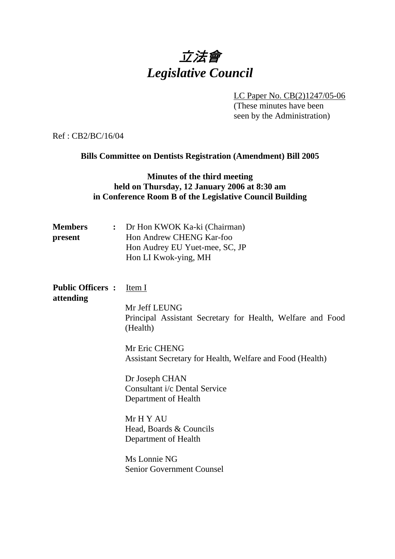# 立法會 *Legislative Council*

 LC Paper No. CB(2)1247/05-06 (These minutes have been seen by the Administration)

Ref : CB2/BC/16/04

#### **Bills Committee on Dentists Registration (Amendment) Bill 2005**

## **Minutes of the third meeting held on Thursday, 12 January 2006 at 8:30 am in Conference Room B of the Legislative Council Building**

| <b>Members</b><br>present            | : Dr Hon KWOK Ka-ki (Chairman)<br>Hon Andrew CHENG Kar-foo<br>Hon Audrey EU Yuet-mee, SC, JP<br>Hon LI Kwok-ying, MH |
|--------------------------------------|----------------------------------------------------------------------------------------------------------------------|
| <b>Public Officers:</b><br>attending | Item I                                                                                                               |
|                                      | Mr Jeff LEUNG<br>Principal Assistant Secretary for Health, Welfare and Food<br>(Health)                              |
|                                      | Mr Eric CHENG<br>Assistant Secretary for Health, Welfare and Food (Health)                                           |
|                                      | Dr Joseph CHAN<br>Consultant i/c Dental Service<br>Department of Health                                              |
|                                      | Mr H Y AU<br>Head, Boards & Councils<br>Department of Health                                                         |
|                                      | Ms Lonnie NG<br><b>Senior Government Counsel</b>                                                                     |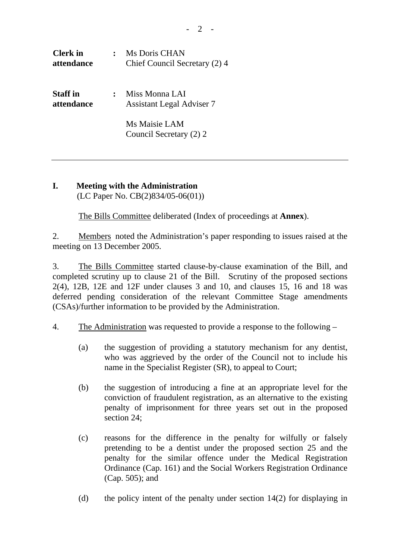| <b>Clerk</b> in<br>attendance | Ms Doris CHAN<br>Chief Council Secretary (2) 4     |
|-------------------------------|----------------------------------------------------|
| <b>Staff in</b><br>attendance | Miss Monna LAI<br><b>Assistant Legal Adviser 7</b> |
|                               | Ms Maisie LAM<br>Council Secretary (2) 2           |

#### **I. Meeting with the Administration**  (LC Paper No. CB(2)834/05-06(01))

The Bills Committee deliberated (Index of proceedings at **Annex**).

2. Members noted the Administration's paper responding to issues raised at the meeting on 13 December 2005.

3. The Bills Committee started clause-by-clause examination of the Bill, and completed scrutiny up to clause 21 of the Bill. Scrutiny of the proposed sections 2(4), 12B, 12E and 12F under clauses 3 and 10, and clauses 15, 16 and 18 was deferred pending consideration of the relevant Committee Stage amendments (CSAs)/further information to be provided by the Administration.

- 4. The Administration was requested to provide a response to the following
	- (a) the suggestion of providing a statutory mechanism for any dentist, who was aggrieved by the order of the Council not to include his name in the Specialist Register (SR), to appeal to Court;
	- (b) the suggestion of introducing a fine at an appropriate level for the conviction of fraudulent registration, as an alternative to the existing penalty of imprisonment for three years set out in the proposed section 24;
	- (c) reasons for the difference in the penalty for wilfully or falsely pretending to be a dentist under the proposed section 25 and the penalty for the similar offence under the Medical Registration Ordinance (Cap. 161) and the Social Workers Registration Ordinance (Cap. 505); and
	- (d) the policy intent of the penalty under section 14(2) for displaying in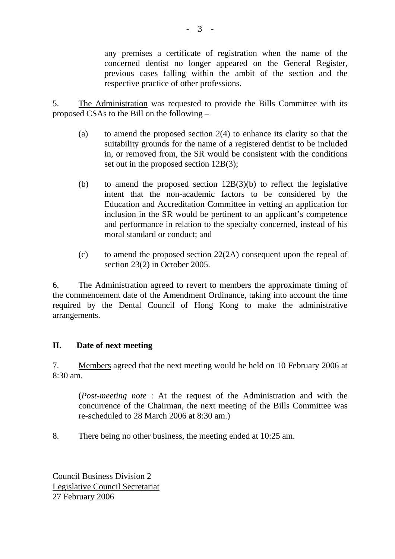any premises a certificate of registration when the name of the concerned dentist no longer appeared on the General Register, previous cases falling within the ambit of the section and the respective practice of other professions.

5. The Administration was requested to provide the Bills Committee with its proposed CSAs to the Bill on the following –

- (a) to amend the proposed section  $2(4)$  to enhance its clarity so that the suitability grounds for the name of a registered dentist to be included in, or removed from, the SR would be consistent with the conditions set out in the proposed section 12B(3);
- (b) to amend the proposed section  $12B(3)(b)$  to reflect the legislative intent that the non-academic factors to be considered by the Education and Accreditation Committee in vetting an application for inclusion in the SR would be pertinent to an applicant's competence and performance in relation to the specialty concerned, instead of his moral standard or conduct; and
- (c) to amend the proposed section 22(2A) consequent upon the repeal of section 23(2) in October 2005.

6. The Administration agreed to revert to members the approximate timing of the commencement date of the Amendment Ordinance, taking into account the time required by the Dental Council of Hong Kong to make the administrative arrangements.

### **II. Date of next meeting**

7. Members agreed that the next meeting would be held on 10 February 2006 at 8:30 am.

(*Post-meeting note* : At the request of the Administration and with the concurrence of the Chairman, the next meeting of the Bills Committee was re-scheduled to 28 March 2006 at 8:30 am.)

8. There being no other business, the meeting ended at 10:25 am.

Council Business Division 2 Legislative Council Secretariat 27 February 2006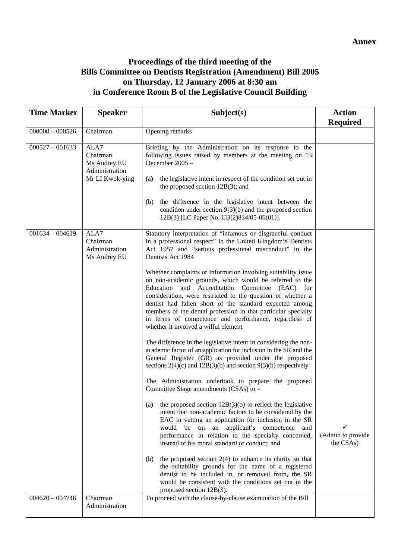# **Proceedings of the third meeting of the Bills Committee on Dentists Registration (Amendment) Bill 2005 on Thursday, 12 January 2006 at 8:30 am in Conference Room B of the Legislative Council Building**

| <b>Time Marker</b> | <b>Speaker</b>                                                        | Subject(s)                                                                                                                                                                                                                                                                                                                                                                                                                                                                                                                                                                                                                                                                                                                                                                                                                                                                                                                                                                                                                                                                                                                                                                                                                                                                                                                                                                                                                                                                                                                                                                                                                                                                                | <b>Action</b><br><b>Required</b>    |
|--------------------|-----------------------------------------------------------------------|-------------------------------------------------------------------------------------------------------------------------------------------------------------------------------------------------------------------------------------------------------------------------------------------------------------------------------------------------------------------------------------------------------------------------------------------------------------------------------------------------------------------------------------------------------------------------------------------------------------------------------------------------------------------------------------------------------------------------------------------------------------------------------------------------------------------------------------------------------------------------------------------------------------------------------------------------------------------------------------------------------------------------------------------------------------------------------------------------------------------------------------------------------------------------------------------------------------------------------------------------------------------------------------------------------------------------------------------------------------------------------------------------------------------------------------------------------------------------------------------------------------------------------------------------------------------------------------------------------------------------------------------------------------------------------------------|-------------------------------------|
| $000000 - 000526$  | Chairman                                                              | Opening remarks                                                                                                                                                                                                                                                                                                                                                                                                                                                                                                                                                                                                                                                                                                                                                                                                                                                                                                                                                                                                                                                                                                                                                                                                                                                                                                                                                                                                                                                                                                                                                                                                                                                                           |                                     |
| $000527 - 001633$  | ALA7<br>Chairman<br>Ms Audrey EU<br>Administration<br>Mr LI Kwok-ying | Briefing by the Administration on its response to the<br>following issues raised by members at the meeting on 13<br>December 2005 -<br>the legislative intent in respect of the condition set out in<br>(a)<br>the proposed section $12B(3)$ ; and<br>the difference in the legislative intent between the<br>(b)<br>condition under section $9(3)(b)$ and the proposed section<br>12B(3) [LC Paper No. CB(2)834/05-06(01)].                                                                                                                                                                                                                                                                                                                                                                                                                                                                                                                                                                                                                                                                                                                                                                                                                                                                                                                                                                                                                                                                                                                                                                                                                                                              |                                     |
| $001634 - 004619$  | ALA7<br>Chairman<br>Administration<br>Ms Audrey EU                    | Statutory interpretation of "infamous or disgraceful conduct<br>in a professional respect" in the United Kingdom's Dentists<br>Act 1957 and "serious professional misconduct" in the<br>Dentists Act 1984<br>Whether complaints or information involving suitability issue<br>on non-academic grounds, which would be referred to the<br>Education and Accreditation Committee (EAC) for<br>consideration, were restricted to the question of whether a<br>dentist had fallen short of the standard expected among<br>members of the dental profession in that particular specialty<br>in terms of competence and performance, regardless of<br>whether it involved a wilful element<br>The difference in the legislative intent in considering the non-<br>academic factor of an application for inclusion in the SR and the<br>General Register (GR) as provided under the proposed<br>sections $2(4)(c)$ and $12B(3)(b)$ and section $9(3)(b)$ respectively<br>The Administration undertook to prepare the proposed<br>Committee Stage amendments (CSAs) to -<br>(a) the proposed section $12B(3)(b)$ to reflect the legislative<br>intent that non-academic factors to be considered by the<br>EAC in vetting an application for inclusion in the SR<br>would be on an applicant's competence<br>and<br>performance in relation to the specialty concerned,<br>instead of his moral standard or conduct; and<br>the proposed section $2(4)$ to enhance its clarity so that<br>(b)<br>the suitability grounds for the name of a registered<br>dentist to be included in, or removed from, the SR<br>would be consistent with the conditions set out in the<br>proposed section 12B(3). | ✓<br>(Admin to provide<br>the CSAs) |
| $004620 - 004746$  | Chairman<br>Administration                                            | To proceed with the clause-by-clause examination of the Bill                                                                                                                                                                                                                                                                                                                                                                                                                                                                                                                                                                                                                                                                                                                                                                                                                                                                                                                                                                                                                                                                                                                                                                                                                                                                                                                                                                                                                                                                                                                                                                                                                              |                                     |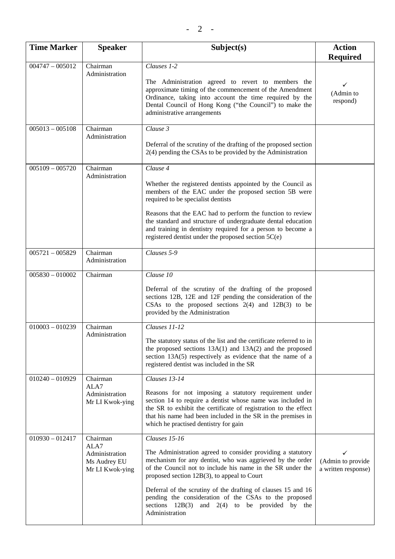- 2 -

| <b>Time Marker</b> | <b>Speaker</b>                                                        | Subject(s)                                                                                                                                                                                                                                                                                                                                                                                                                                                     | <b>Action</b><br><b>Required</b>         |
|--------------------|-----------------------------------------------------------------------|----------------------------------------------------------------------------------------------------------------------------------------------------------------------------------------------------------------------------------------------------------------------------------------------------------------------------------------------------------------------------------------------------------------------------------------------------------------|------------------------------------------|
| $004747 - 005012$  | Chairman<br>Administration                                            | Clauses 1-2<br>The Administration agreed to revert to members the<br>approximate timing of the commencement of the Amendment<br>Ordinance, taking into account the time required by the<br>Dental Council of Hong Kong ("the Council") to make the<br>administrative arrangements                                                                                                                                                                              | ✓<br>(Admin to<br>respond)               |
| $005013 - 005108$  | Chairman<br>Administration                                            | Clause 3<br>Deferral of the scrutiny of the drafting of the proposed section<br>$2(4)$ pending the CSAs to be provided by the Administration                                                                                                                                                                                                                                                                                                                   |                                          |
| $005109 - 005720$  | Chairman<br>Administration                                            | Clause 4<br>Whether the registered dentists appointed by the Council as<br>members of the EAC under the proposed section 5B were<br>required to be specialist dentists<br>Reasons that the EAC had to perform the function to review<br>the standard and structure of undergraduate dental education<br>and training in dentistry required for a person to become a<br>registered dentist under the proposed section $5C(e)$                                   |                                          |
| $005721 - 005829$  | Chairman<br>Administration                                            | Clauses 5-9                                                                                                                                                                                                                                                                                                                                                                                                                                                    |                                          |
| $005830 - 010002$  | Chairman                                                              | Clause 10<br>Deferral of the scrutiny of the drafting of the proposed<br>sections 12B, 12E and 12F pending the consideration of the<br>CSAs to the proposed sections $2(4)$ and $12B(3)$ to be<br>provided by the Administration                                                                                                                                                                                                                               |                                          |
| $010003 - 010239$  | Chairman<br>Administration                                            | Clauses 11-12<br>The statutory status of the list and the certificate referred to in<br>the proposed sections $13A(1)$ and $13A(2)$ and the proposed<br>section 13A(5) respectively as evidence that the name of a<br>registered dentist was included in the SR                                                                                                                                                                                                |                                          |
| $010240 - 010929$  | Chairman<br>ALA7<br>Administration<br>Mr LI Kwok-ying                 | Clauses 13-14<br>Reasons for not imposing a statutory requirement under<br>section 14 to require a dentist whose name was included in<br>the SR to exhibit the certificate of registration to the effect<br>that his name had been included in the SR in the premises in<br>which he practised dentistry for gain                                                                                                                                              |                                          |
| $010930 - 012417$  | Chairman<br>ALA7<br>Administration<br>Ms Audrey EU<br>Mr LI Kwok-ying | Clauses 15-16<br>The Administration agreed to consider providing a statutory<br>mechanism for any dentist, who was aggrieved by the order<br>of the Council not to include his name in the SR under the<br>proposed section $12B(3)$ , to appeal to Court<br>Deferral of the scrutiny of the drafting of clauses 15 and 16<br>pending the consideration of the CSAs to the proposed<br>and $2(4)$ to be provided by the<br>sections $12B(3)$<br>Administration | (Admin to provide<br>a written response) |